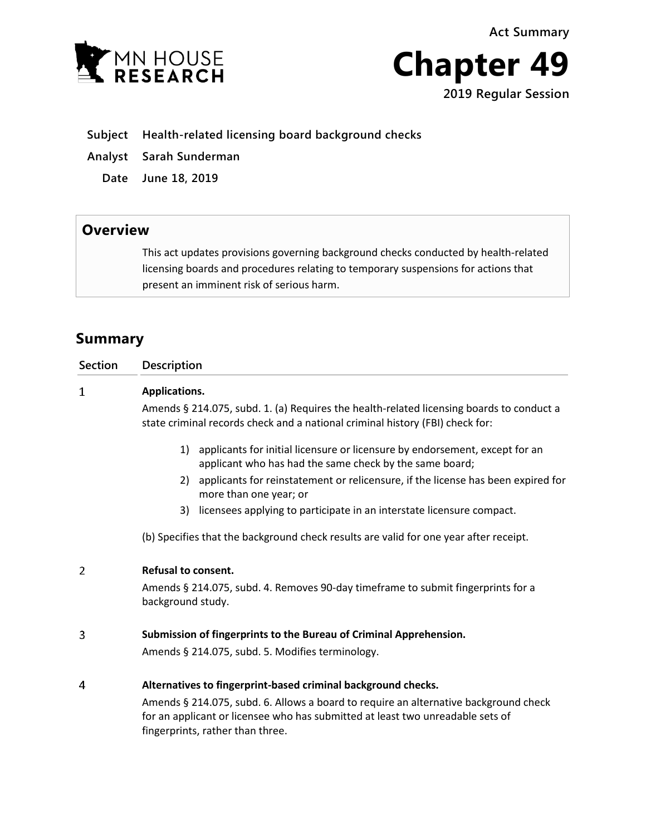**Act Summary**





- **Subject Health-related licensing board background checks**
- **Analyst Sarah Sunderman**
	- **Date June 18, 2019**

## **Overview**

This act updates provisions governing background checks conducted by health-related licensing boards and procedures relating to temporary suspensions for actions that present an imminent risk of serious harm.

## **Summary**

| <b>Section</b> | <b>Description</b>                                                                                                                                                                                         |
|----------------|------------------------------------------------------------------------------------------------------------------------------------------------------------------------------------------------------------|
| $\mathbf 1$    | Applications.                                                                                                                                                                                              |
|                | Amends § 214.075, subd. 1. (a) Requires the health-related licensing boards to conduct a<br>state criminal records check and a national criminal history (FBI) check for:                                  |
|                | applicants for initial licensure or licensure by endorsement, except for an<br>1)<br>applicant who has had the same check by the same board;                                                               |
|                | applicants for reinstatement or relicensure, if the license has been expired for<br>2)<br>more than one year; or                                                                                           |
|                | licensees applying to participate in an interstate licensure compact.<br>3)                                                                                                                                |
|                | (b) Specifies that the background check results are valid for one year after receipt.                                                                                                                      |
| 2              | <b>Refusal to consent.</b>                                                                                                                                                                                 |
|                | Amends § 214.075, subd. 4. Removes 90-day timeframe to submit fingerprints for a<br>background study.                                                                                                      |
| 3              | Submission of fingerprints to the Bureau of Criminal Apprehension.                                                                                                                                         |
|                | Amends § 214.075, subd. 5. Modifies terminology.                                                                                                                                                           |
| 4              | Alternatives to fingerprint-based criminal background checks.                                                                                                                                              |
|                | Amends § 214.075, subd. 6. Allows a board to require an alternative background check<br>for an applicant or licensee who has submitted at least two unreadable sets of<br>fingerprints, rather than three. |